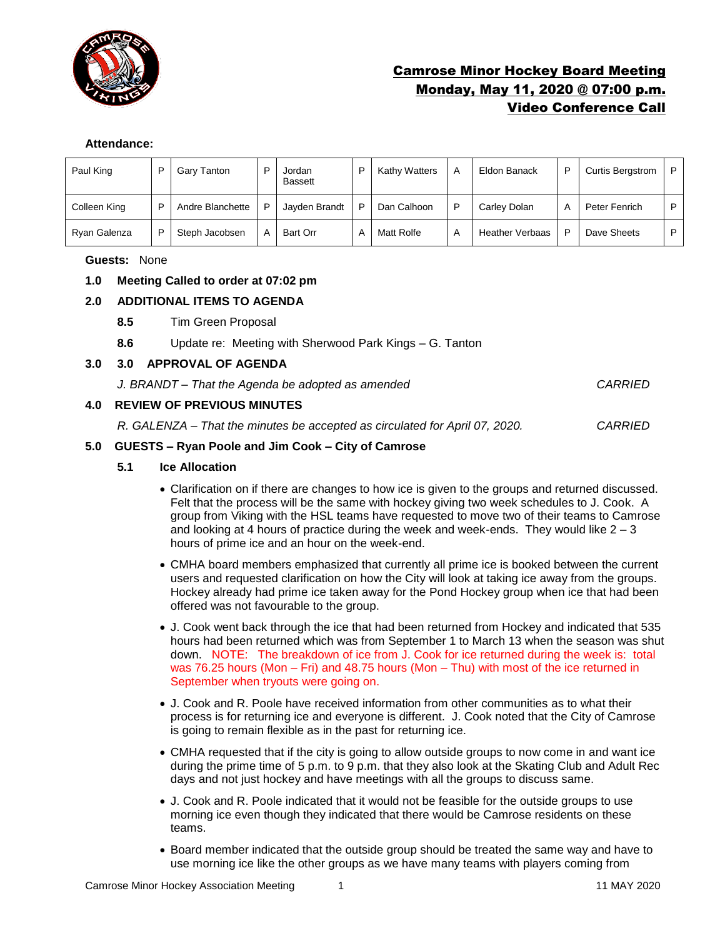

# Camrose Minor Hockey Board Meeting Monday, May 11, 2020 @ 07:00 p.m. Video Conference Call

#### **Attendance:**

| Paul King    | ▫ | Gary Tanton      | D | Jordan<br><b>Bassett</b> | Kathy Watters | A | Eldon Banack           | P | <b>Curtis Bergstrom</b> | P |
|--------------|---|------------------|---|--------------------------|---------------|---|------------------------|---|-------------------------|---|
| Colleen King | D | Andre Blanchette | P | Jayden Brandt            | Dan Calhoon   |   | Carley Dolan           | А | Peter Fenrich           | D |
| Ryan Galenza | D | Steph Jacobsen   | A | Bart Orr                 | Matt Rolfe    | A | <b>Heather Verbaas</b> | P | Dave Sheets             | P |

### **Guests:** None

### **1.0 Meeting Called to order at 07:02 pm**

### **2.0 ADDITIONAL ITEMS TO AGENDA**

- **8.5** Tim Green Proposal
- **8.6** Update re: Meeting with Sherwood Park Kings G. Tanton

### **3.0 3.0 APPROVAL OF AGENDA**

*J. BRANDT – That the Agenda be adopted as amended CARRIED*

### **4.0 REVIEW OF PREVIOUS MINUTES**

*R. GALENZA – That the minutes be accepted as circulated for April 07, 2020. CARRIED*

#### **5.0 GUESTS – Ryan Poole and Jim Cook – City of Camrose**

#### **5.1 Ice Allocation**

- Clarification on if there are changes to how ice is given to the groups and returned discussed. Felt that the process will be the same with hockey giving two week schedules to J. Cook. A group from Viking with the HSL teams have requested to move two of their teams to Camrose and looking at 4 hours of practice during the week and week-ends. They would like  $2 - 3$ hours of prime ice and an hour on the week-end.
- CMHA board members emphasized that currently all prime ice is booked between the current users and requested clarification on how the City will look at taking ice away from the groups. Hockey already had prime ice taken away for the Pond Hockey group when ice that had been offered was not favourable to the group.
- J. Cook went back through the ice that had been returned from Hockey and indicated that 535 hours had been returned which was from September 1 to March 13 when the season was shut down. NOTE: The breakdown of ice from J. Cook for ice returned during the week is: total was 76.25 hours (Mon – Fri) and 48.75 hours (Mon – Thu) with most of the ice returned in September when tryouts were going on.
- J. Cook and R. Poole have received information from other communities as to what their process is for returning ice and everyone is different. J. Cook noted that the City of Camrose is going to remain flexible as in the past for returning ice.
- CMHA requested that if the city is going to allow outside groups to now come in and want ice during the prime time of 5 p.m. to 9 p.m. that they also look at the Skating Club and Adult Rec days and not just hockey and have meetings with all the groups to discuss same.
- J. Cook and R. Poole indicated that it would not be feasible for the outside groups to use morning ice even though they indicated that there would be Camrose residents on these teams.
- Board member indicated that the outside group should be treated the same way and have to use morning ice like the other groups as we have many teams with players coming from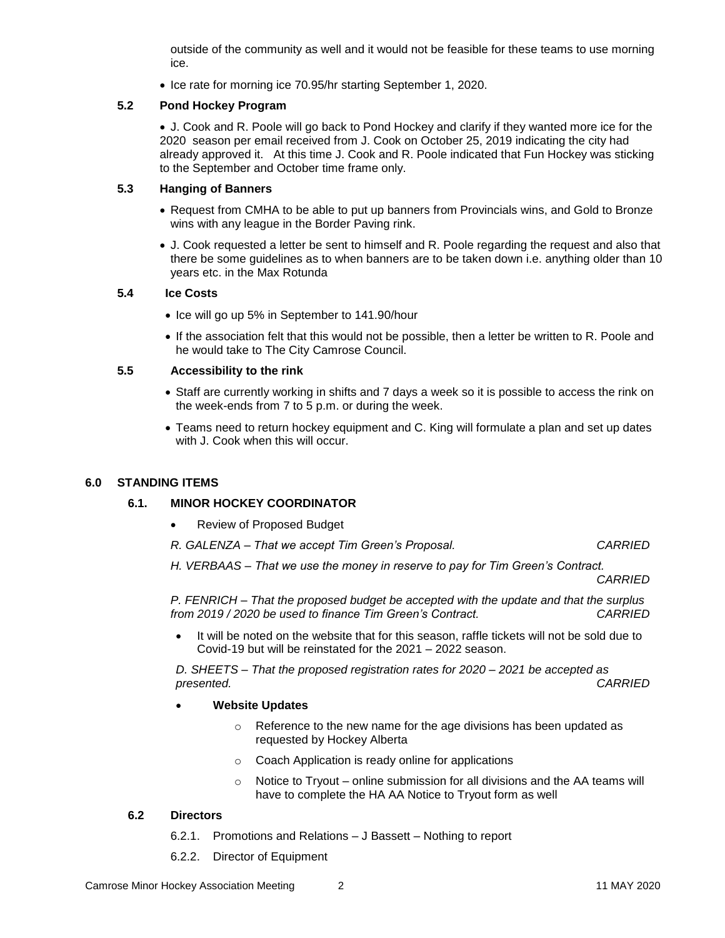outside of the community as well and it would not be feasible for these teams to use morning ice.

• Ice rate for morning ice 70.95/hr starting September 1, 2020.

## **5.2 Pond Hockey Program**

• J. Cook and R. Poole will go back to Pond Hockey and clarify if they wanted more ice for the 2020 season per email received from J. Cook on October 25, 2019 indicating the city had already approved it. At this time J. Cook and R. Poole indicated that Fun Hockey was sticking to the September and October time frame only.

## **5.3 Hanging of Banners**

- Request from CMHA to be able to put up banners from Provincials wins, and Gold to Bronze wins with any league in the Border Paving rink.
- J. Cook requested a letter be sent to himself and R. Poole regarding the request and also that there be some guidelines as to when banners are to be taken down i.e. anything older than 10 years etc. in the Max Rotunda

#### **5.4 Ice Costs**

- Ice will go up 5% in September to 141.90/hour
- If the association felt that this would not be possible, then a letter be written to R. Poole and he would take to The City Camrose Council.

#### **5.5 Accessibility to the rink**

- Staff are currently working in shifts and 7 days a week so it is possible to access the rink on the week-ends from 7 to 5 p.m. or during the week.
- Teams need to return hockey equipment and C. King will formulate a plan and set up dates with J. Cook when this will occur.

## **6.0 STANDING ITEMS**

## **6.1. MINOR HOCKEY COORDINATOR**

- Review of Proposed Budget
- *R. GALENZA – That we accept Tim Green's Proposal. CARRIED*
- *H. VERBAAS – That we use the money in reserve to pay for Tim Green's Contract. CARRIED*

*P. FENRICH – That the proposed budget be accepted with the update and that the surplus from 2019 / 2020 be used to finance Tim Green's Contract. CARRIED*

• It will be noted on the website that for this season, raffle tickets will not be sold due to Covid-19 but will be reinstated for the 2021 – 2022 season.

*D. SHEETS – That the proposed registration rates for 2020 – 2021 be accepted as presented.* 

- **Website Updates**
	- o Reference to the new name for the age divisions has been updated as requested by Hockey Alberta
	- o Coach Application is ready online for applications
	- $\circ$  Notice to Tryout online submission for all divisions and the AA teams will have to complete the HA AA Notice to Tryout form as well

#### **6.2 Directors**

- 6.2.1. Promotions and Relations J Bassett Nothing to report
- 6.2.2. Director of Equipment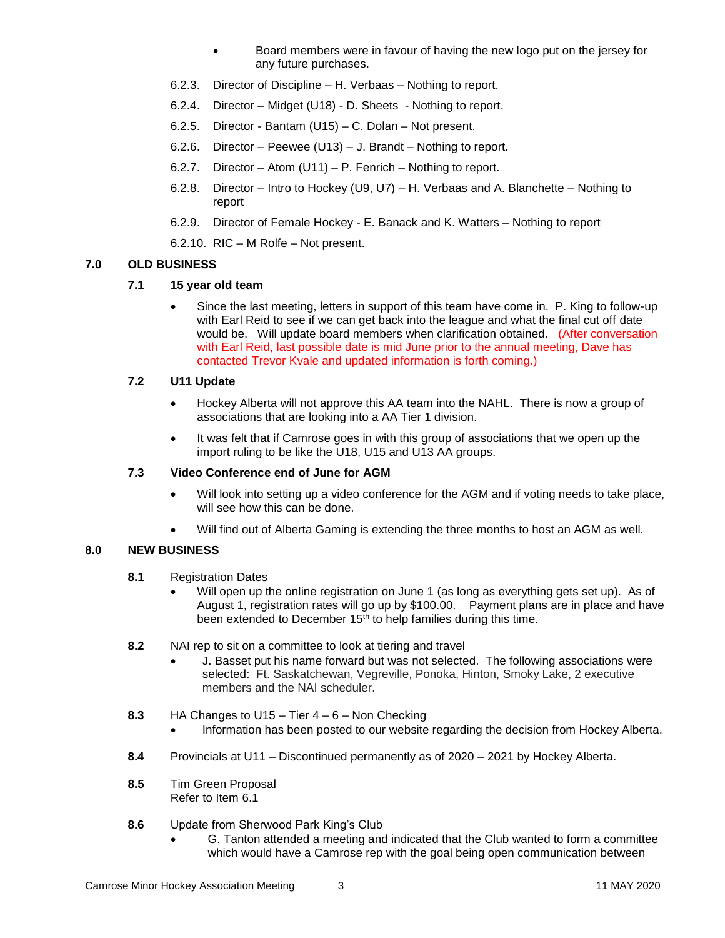- Board members were in favour of having the new logo put on the jersey for any future purchases.
- 6.2.3. Director of Discipline H. Verbaas Nothing to report.
- 6.2.4. Director Midget (U18) D. Sheets Nothing to report.
- 6.2.5. Director Bantam (U15) C. Dolan Not present.
- 6.2.6. Director Peewee (U13) J. Brandt Nothing to report.
- 6.2.7. Director Atom (U11) P. Fenrich Nothing to report.
- 6.2.8. Director Intro to Hockey (U9, U7) H. Verbaas and A. Blanchette Nothing to report
- 6.2.9. Director of Female Hockey E. Banack and K. Watters Nothing to report
- 6.2.10. RIC M Rolfe Not present.

## **7.0 OLD BUSINESS**

## **7.1 15 year old team**

• Since the last meeting, letters in support of this team have come in. P. King to follow-up with Earl Reid to see if we can get back into the league and what the final cut off date would be. Will update board members when clarification obtained. (After conversation with Earl Reid, last possible date is mid June prior to the annual meeting, Dave has contacted Trevor Kvale and updated information is forth coming.)

## **7.2 U11 Update**

- Hockey Alberta will not approve this AA team into the NAHL. There is now a group of associations that are looking into a AA Tier 1 division.
- It was felt that if Camrose goes in with this group of associations that we open up the import ruling to be like the U18, U15 and U13 AA groups.

## **7.3 Video Conference end of June for AGM**

- Will look into setting up a video conference for the AGM and if voting needs to take place, will see how this can be done.
- Will find out of Alberta Gaming is extending the three months to host an AGM as well.

## **8.0 NEW BUSINESS**

- **8.1** Registration Dates
	- Will open up the online registration on June 1 (as long as everything gets set up). As of August 1, registration rates will go up by \$100.00. Payment plans are in place and have been extended to December 15<sup>th</sup> to help families during this time.
- **8.2** NAI rep to sit on a committee to look at tiering and travel
	- J. Basset put his name forward but was not selected. The following associations were selected: Ft. Saskatchewan, Vegreville, Ponoka, Hinton, Smoky Lake, 2 executive members and the NAI scheduler.
- **8.3** HA Changes to U15 Tier 4 6 Non Checking
	- Information has been posted to our website regarding the decision from Hockey Alberta.
- **8.4** Provincials at U11 Discontinued permanently as of 2020 2021 by Hockey Alberta.
- **8.5** Tim Green Proposal Refer to Item 6.1
- **8.6** Update from Sherwood Park King's Club
	- G. Tanton attended a meeting and indicated that the Club wanted to form a committee which would have a Camrose rep with the goal being open communication between